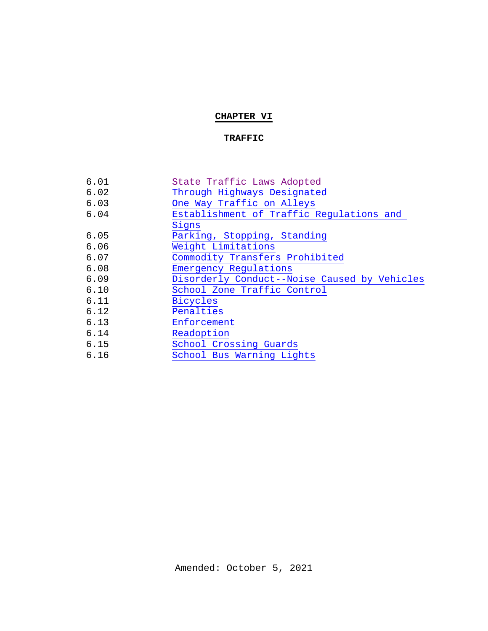# **CHAPTER VI**

## **TRAFFIC**

| 6.01 | State Traffic Laws Adopted                   |
|------|----------------------------------------------|
| 6.02 | Through Highways Designated                  |
| 6.03 | One Way Traffic on Alleys                    |
| 6.04 | Establishment of Traffic Regulations and     |
|      | Signs                                        |
| 6.05 | Parking, Stopping, Standing                  |
| 6.06 | Weight Limitations                           |
| 6.07 | Commodity Transfers Prohibited               |
| 6.08 | Emergency Regulations                        |
| 6.09 | Disorderly Conduct--Noise Caused by Vehicles |
| 6.10 | School Zone Traffic Control                  |
| 6.11 | <b>Bicycles</b>                              |
| 6.12 | Penalties                                    |
| 6.13 | Enforcement                                  |
| 6.14 | Readoption                                   |
| 6.15 | School Crossing Guards                       |
| 6.16 | School Bus Warning Lights                    |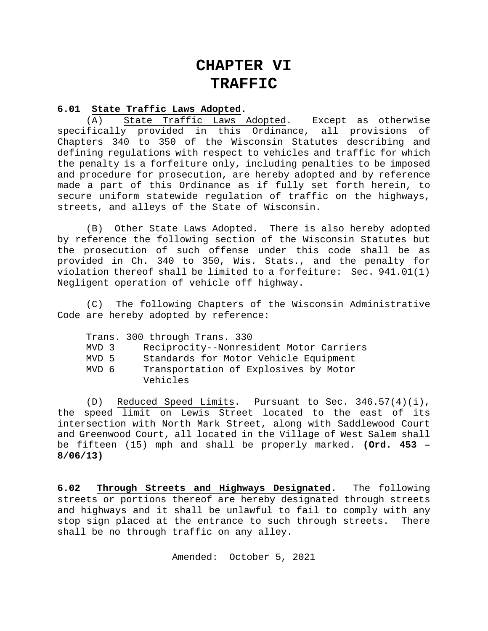# **CHAPTER VI TRAFFIC**

#### **6.01 State Traffic Laws Adopted.**

<span id="page-1-0"></span>(A) State Traffic Laws Adopted. Except as otherwise<br>fically provided in this Ordinance, all provisions of specifically provided in this Ordinance, all provisions Chapters 340 to 350 of the Wisconsin Statutes describing and defining regulations with respect to vehicles and traffic for which the penalty is a forfeiture only, including penalties to be imposed and procedure for prosecution, are hereby adopted and by reference made a part of this Ordinance as if fully set forth herein, to secure uniform statewide regulation of traffic on the highways, streets, and alleys of the State of Wisconsin.

(B) Other State Laws Adopted. There is also hereby adopted by reference the following section of the Wisconsin Statutes but the prosecution of such offense under this code shall be as provided in Ch. 340 to 350, Wis. Stats., and the penalty for violation thereof shall be limited to a forfeiture: Sec. 941.01(1) Negligent operation of vehicle off highway.

(C) The following Chapters of the Wisconsin Administrative Code are hereby adopted by reference:

|       | Trans. 300 through Trans. 330                     |
|-------|---------------------------------------------------|
| MVD 3 | Reciprocity--Nonresident Motor Carriers           |
| MVD 5 | Standards for Motor Vehicle Equipment             |
| MVD 6 | Transportation of Explosives by Motor<br>Vehicles |

(D) Reduced Speed Limits. Pursuant to Sec. 346.57(4)(i), the speed limit on Lewis Street located to the east of its intersection with North Mark Street, along with Saddlewood Court and Greenwood Court, all located in the Village of West Salem shall be fifteen (15) mph and shall be properly marked. **(Ord. 453 – 8/06/13)**

**6.02 Through Streets and Highways Designated.** The following streets or portions thereof are hereby designated through streets and highways and it shall be unlawful to fail to comply with any<br>stop sign placed at the entrance to such through streets. There stop sign placed at the entrance to such through streets. shall be no through traffic on any alley.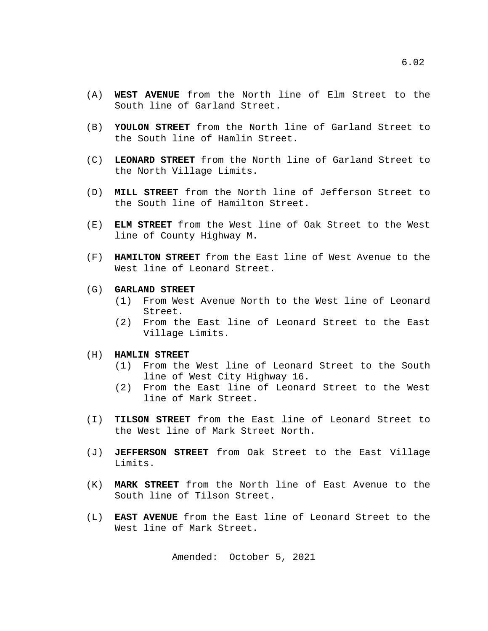- (A) **WEST AVENUE** from the North line of Elm Street to the South line of Garland Street.
- (B) **YOULON STREET** from the North line of Garland Street to the South line of Hamlin Street.
- (C) **LEONARD STREET** from the North line of Garland Street to the North Village Limits.
- (D) **MILL STREET** from the North line of Jefferson Street to the South line of Hamilton Street.
- (E) **ELM STREET** from the West line of Oak Street to the West line of County Highway M.
- (F) **HAMILTON STREET** from the East line of West Avenue to the West line of Leonard Street.
- (G) **GARLAND STREET**
	- (1) From West Avenue North to the West line of Leonard Street.
	- (2) From the East line of Leonard Street to the East Village Limits.
- (H) **HAMLIN STREET**
	- (1) From the West line of Leonard Street to the South line of West City Highway 16.
	- (2) From the East line of Leonard Street to the West line of Mark Street.
- (I) **TILSON STREET** from the East line of Leonard Street to the West line of Mark Street North.
- (J) **JEFFERSON STREET** from Oak Street to the East Village Limits.
- (K) **MARK STREET** from the North line of East Avenue to the South line of Tilson Street.
- (L) **EAST AVENUE** from the East line of Leonard Street to the West line of Mark Street.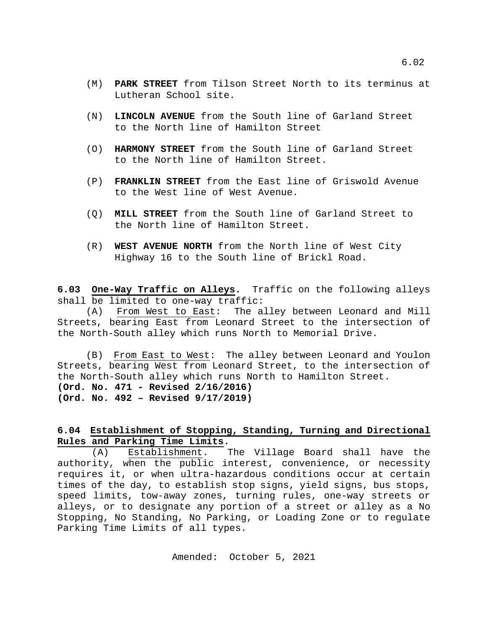- (M) **PARK STREET** from Tilson Street North to its terminus at Lutheran School site.
- (N) **LINCOLN AVENUE** from the South line of Garland Street to the North line of Hamilton Street
- (O) **HARMONY STREET** from the South line of Garland Street to the North line of Hamilton Street.
- (P) **FRANKLIN STREET** from the East line of Griswold Avenue to the West line of West Avenue.
- (Q) **MILL STREET** from the South line of Garland Street to the North line of Hamilton Street.
- (R) **WEST AVENUE NORTH** from the North line of West City Highway 16 to the South line of Brickl Road.

<span id="page-3-0"></span>**6.03 One-Way Traffic on Alleys.** Traffic on the following alleys shall be limited to one-way traffic:

(A) From West to East: The alley between Leonard and Mill Streets, bearing East from Leonard Street to the intersection of the North-South alley which runs North to Memorial Drive.

(B) From East to West: The alley between Leonard and Youlon Streets, bearing West from Leonard Street, to the intersection of the North-South alley which runs North to Hamilton Street. **(Ord. No. 471 - Revised 2/16/2016) (Ord. No. 492 – Revised 9/17/2019)**

# <span id="page-3-1"></span>**6.04 Establishment of Stopping, Standing, Turning and Directional Rules and Parking Time Limits.**

(A) Establishment. The Village Board shall have the authority, when the public interest, convenience, or necessity requires it, or when ultra-hazardous conditions occur at certain times of the day, to establish stop signs, yield signs, bus stops, speed limits, tow-away zones, turning rules, one-way streets or alleys, or to designate any portion of a street or alley as a No Stopping, No Standing, No Parking, or Loading Zone or to regulate Parking Time Limits of all types.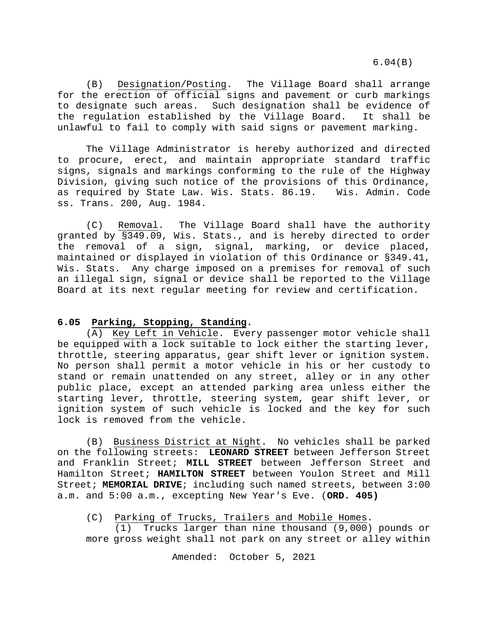6.04(B)

(B) Designation/Posting. The Village Board shall arrange for the erection of official signs and pavement or curb markings to designate such areas. Such designation shall be evidence of<br>the regulation established by the Village Board. It shall be the regulation established by the Village Board. unlawful to fail to comply with said signs or pavement marking.

The Village Administrator is hereby authorized and directed to procure, erect, and maintain appropriate standard traffic signs, signals and markings conforming to the rule of the Highway Division, giving such notice of the provisions of this Ordinance, as required by State Law. Wis. Stats. 86.19. Wis. Admin. Code ss. Trans. 200, Aug. 1984.

(C) Removal. The Village Board shall have the authority granted by §349.09, Wis. Stats., and is hereby directed to order the removal of a sign, signal, marking, or device placed, maintained or displayed in violation of this Ordinance or §349.41, Wis. Stats. Any charge imposed on a premises for removal of such an illegal sign, signal or device shall be reported to the Village Board at its next regular meeting for review and certification.

## <span id="page-4-0"></span>**6.05 Parking, Stopping, Standing.**

(A) Key Left in Vehicle. Every passenger motor vehicle shall be equipped with a lock suitable to lock either the starting lever, throttle, steering apparatus, gear shift lever or ignition system. No person shall permit a motor vehicle in his or her custody to stand or remain unattended on any street, alley or in any other public place, except an attended parking area unless either the starting lever, throttle, steering system, gear shift lever, or ignition system of such vehicle is locked and the key for such lock is removed from the vehicle.

(B) Business District at Night. No vehicles shall be parked on the following streets: **LEONARD STREET** between Jefferson Street and Franklin Street; **MILL STREET** between Jefferson Street and Hamilton Street; **HAMILTON STREET** between Youlon Street and Mill Street; **MEMORIAL DRIVE**; including such named streets, between 3:00 a.m. and 5:00 a.m., excepting New Year's Eve. (**ORD. 405)**

## (C) Parking of Trucks, Trailers and Mobile Homes.

(1) Trucks larger than nine thousand (9,000) pounds or more gross weight shall not park on any street or alley within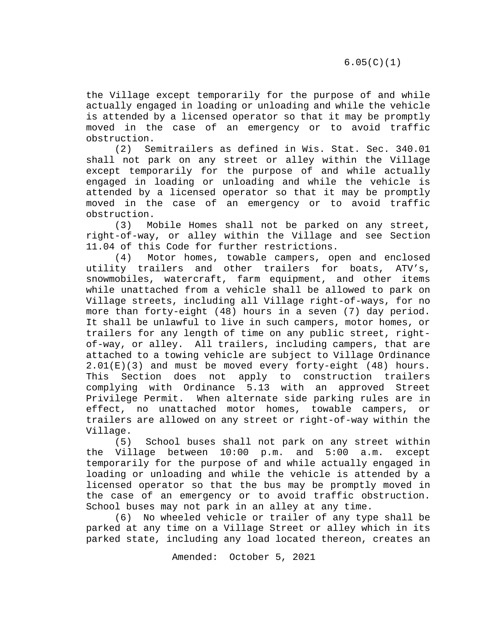the Village except temporarily for the purpose of and while actually engaged in loading or unloading and while the vehicle is attended by a licensed operator so that it may be promptly moved in the case of an emergency or to avoid traffic obstruction.

(2) Semitrailers as defined in Wis. Stat. Sec. 340.01 shall not park on any street or alley within the Village except temporarily for the purpose of and while actually engaged in loading or unloading and while the vehicle is attended by a licensed operator so that it may be promptly moved in the case of an emergency or to avoid traffic obstruction.

(3) Mobile Homes shall not be parked on any street, right-of-way, or alley within the Village and see Section 11.04 of this Code for further restrictions.<br>(4) Motor homes, towable campers, op

Motor homes, towable campers, open and enclosed utility trailers and other trailers for boats, ATV's, snowmobiles, watercraft, farm equipment, and other items while unattached from a vehicle shall be allowed to park on Village streets, including all Village right-of-ways, for no more than forty-eight (48) hours in a seven (7) day period. It shall be unlawful to live in such campers, motor homes, or trailers for any length of time on any public street, rightof-way, or alley. All trailers, including campers, that are attached to a towing vehicle are subject to Village Ordinance  $2.01(E)(3)$  and must be moved every forty-eight (48) hours.<br>This Section does not apply to construction trailers Section does not apply to construction trailers complying with Ordinance 5.13 with an approved Street When alternate side parking rules are in effect, no unattached motor homes, towable campers, or trailers are allowed on any street or right-of-way within the

Village.<br>(5) School buses shall not park on any street within the Village between 10:00 p.m. and 5:00 a.m. except temporarily for the purpose of and while actually engaged in loading or unloading and while the vehicle is attended by a licensed operator so that the bus may be promptly moved in the case of an emergency or to avoid traffic obstruction. School buses may not park in an alley at any time.

(6) No wheeled vehicle or trailer of any type shall be parked at any time on a Village Street or alley which in its parked state, including any load located thereon, creates an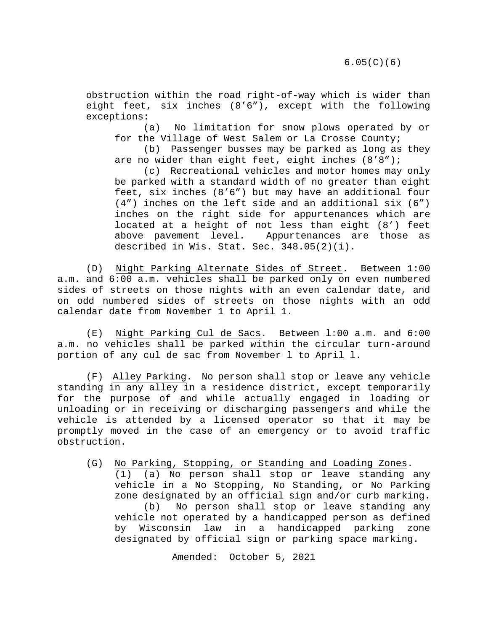obstruction within the road right-of-way which is wider than eight feet, six inches (8'6"), except with the following exceptions:

(a) No limitation for snow plows operated by or for the Village of West Salem or La Crosse County;

(b) Passenger busses may be parked as long as they are no wider than eight feet, eight inches (8'8");

(c) Recreational vehicles and motor homes may only be parked with a standard width of no greater than eight feet, six inches (8'6") but may have an additional four (4") inches on the left side and an additional six (6") inches on the right side for appurtenances which are located at a height of not less than eight (8') feet<br>above pavement level. Appurtenances are those as Appurtenances are those as described in Wis. Stat. Sec. 348.05(2)(i).

(D) Night Parking Alternate Sides of Street. Between 1:00 a.m. and 6:00 a.m. vehicles shall be parked only on even numbered sides of streets on those nights with an even calendar date, and on odd numbered sides of streets on those nights with an odd calendar date from November 1 to April 1.

(E) Night Parking Cul de Sacs. Between l:00 a.m. and 6:00 a.m. no vehicles shall be parked within the circular turn-around portion of any cul de sac from November l to April l.

(F) Alley Parking. No person shall stop or leave any vehicle standing in any alley in a residence district, except temporarily for the purpose of and while actually engaged in loading or unloading or in receiving or discharging passengers and while the vehicle is attended by a licensed operator so that it may be promptly moved in the case of an emergency or to avoid traffic obstruction.

(G) No Parking, Stopping, or Standing and Loading Zones. (1) (a) No person shall stop or leave standing any vehicle in a No Stopping, No Standing, or No Parking zone designated by an official sign and/or curb marking. (b) No person shall stop or leave standing any vehicle not operated by a handicapped person as defined by Wisconsin law in a handicapped parking zone designated by official sign or parking space marking.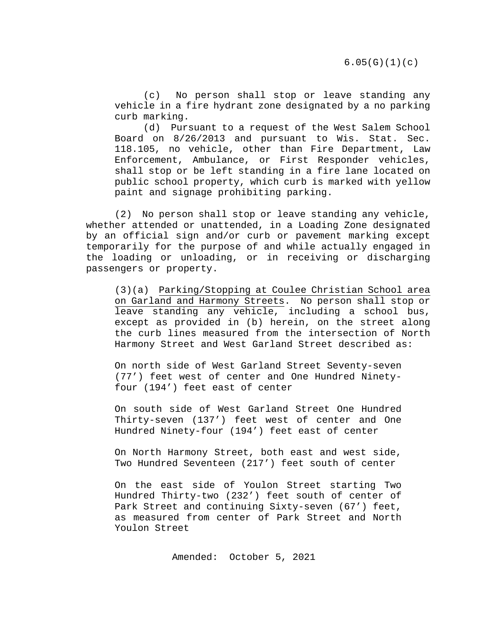(c) No person shall stop or leave standing any vehicle in a fire hydrant zone designated by a no parking curb marking.

(d) Pursuant to a request of the West Salem School Board on 8/26/2013 and pursuant to Wis. Stat. Sec. 118.105, no vehicle, other than Fire Department, Law Enforcement, Ambulance, or First Responder vehicles, shall stop or be left standing in a fire lane located on public school property, which curb is marked with yellow paint and signage prohibiting parking.

(2) No person shall stop or leave standing any vehicle, whether attended or unattended, in a Loading Zone designated by an official sign and/or curb or pavement marking except temporarily for the purpose of and while actually engaged in the loading or unloading, or in receiving or discharging passengers or property.

(3)(a) Parking/Stopping at Coulee Christian School area on Garland and Harmony Streets. No person shall stop or leave standing any vehicle, including a school bus, except as provided in (b) herein, on the street along the curb lines measured from the intersection of North Harmony Street and West Garland Street described as:

On north side of West Garland Street Seventy-seven (77') feet west of center and One Hundred Ninetyfour (194') feet east of center

On south side of West Garland Street One Hundred Thirty-seven (137') feet west of center and One Hundred Ninety-four (194') feet east of center

On North Harmony Street, both east and west side, Two Hundred Seventeen (217') feet south of center

On the east side of Youlon Street starting Two Hundred Thirty-two (232') feet south of center of Park Street and continuing Sixty-seven (67') feet, as measured from center of Park Street and North Youlon Street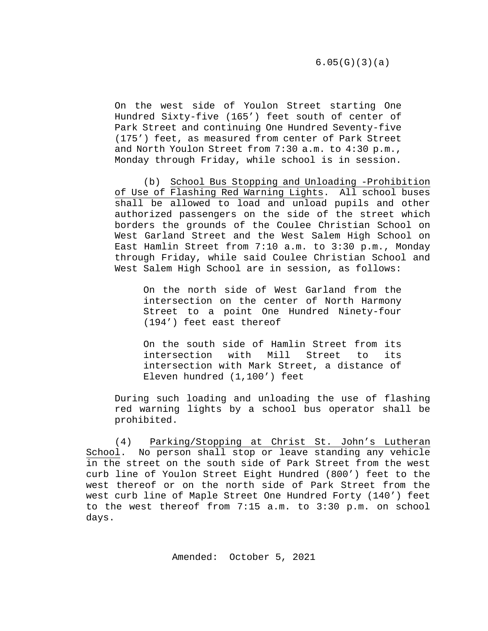On the west side of Youlon Street starting One Hundred Sixty-five (165') feet south of center of Park Street and continuing One Hundred Seventy-five (175') feet, as measured from center of Park Street and North Youlon Street from 7:30 a.m. to 4:30 p.m., Monday through Friday, while school is in session.

(b) School Bus Stopping and Unloading -Prohibition of Use of Flashing Red Warning Lights. All school buses shall be allowed to load and unload pupils and other authorized passengers on the side of the street which borders the grounds of the Coulee Christian School on West Garland Street and the West Salem High School on East Hamlin Street from 7:10 a.m. to 3:30 p.m., Monday through Friday, while said Coulee Christian School and West Salem High School are in session, as follows:

On the north side of West Garland from the intersection on the center of North Harmony Street to a point One Hundred Ninety-four (194') feet east thereof

On the south side of Hamlin Street from its<br>intersection with Mill Street to its Mill Street to intersection with Mark Street, a distance of Eleven hundred (1,100') feet

During such loading and unloading the use of flashing red warning lights by a school bus operator shall be prohibited.

(4) Parking/Stopping at Christ St. John's Lutheran School. No person shall stop or leave standing any vehicle in the street on the south side of Park Street from the west curb line of Youlon Street Eight Hundred (800') feet to the west thereof or on the north side of Park Street from the west curb line of Maple Street One Hundred Forty (140') feet to the west thereof from 7:15 a.m. to 3:30 p.m. on school days.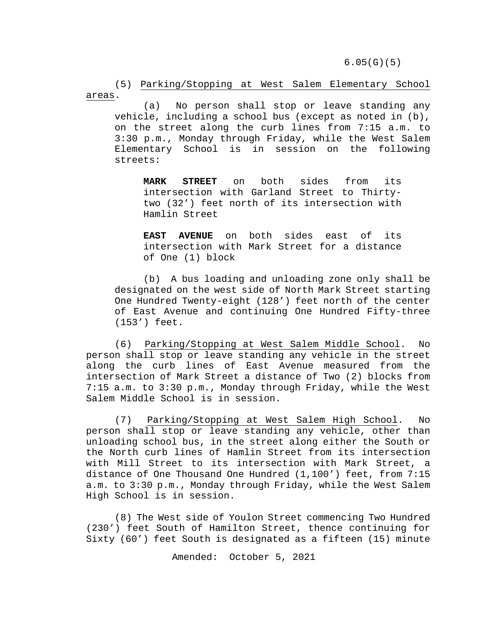6.05(G)(5)

(5) Parking/Stopping at West Salem Elementary School areas.

(a) No person shall stop or leave standing any vehicle, including a school bus (except as noted in (b), on the street along the curb lines from 7:15 a.m. to 3:30 p.m., Monday through Friday, while the West Salem Elementary School is in session on the following streets:

**MARK STREET** on both sides from its intersection with Garland Street to Thirtytwo (32') feet north of its intersection with Hamlin Street

**EAST AVENUE** on both sides east of its intersection with Mark Street for a distance of One (1) block

(b) A bus loading and unloading zone only shall be designated on the west side of North Mark Street starting One Hundred Twenty-eight (128') feet north of the center of East Avenue and continuing One Hundred Fifty-three (153') feet.

(6) Parking/Stopping at West Salem Middle School. No person shall stop or leave standing any vehicle in the street along the curb lines of East Avenue measured from the intersection of Mark Street a distance of Two (2) blocks from 7:15 a.m. to 3:30 p.m., Monday through Friday, while the West Salem Middle School is in session.

(7) Parking/Stopping at West Salem High School. No person shall stop or leave standing any vehicle, other than unloading school bus, in the street along either the South or the North curb lines of Hamlin Street from its intersection with Mill Street to its intersection with Mark Street, a distance of One Thousand One Hundred (1,100') feet, from 7:15 a.m. to 3:30 p.m., Monday through Friday, while the West Salem High School is in session.

(8) The West side of Youlon Street commencing Two Hundred (230') feet South of Hamilton Street, thence continuing for Sixty (60') feet South is designated as a fifteen (15) minute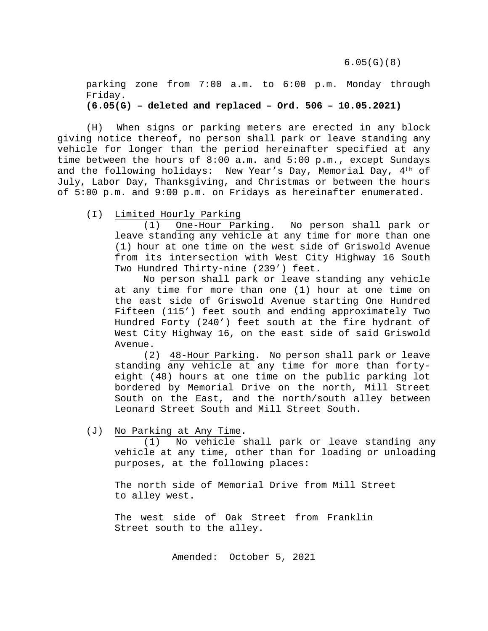parking zone from 7:00 a.m. to 6:00 p.m. Monday through Friday. **(6.05(G) – deleted and replaced – Ord. 506 – 10.05.2021)**

(H) When signs or parking meters are erected in any block giving notice thereof, no person shall park or leave standing any vehicle for longer than the period hereinafter specified at any time between the hours of 8:00 a.m. and 5:00 p.m., except Sundays and the following holidays: New Year's Day, Memorial Day, 4<sup>th</sup> of July, Labor Day, Thanksgiving, and Christmas or between the hours of 5:00 p.m. and 9:00 p.m. on Fridays as hereinafter enumerated.

(I) Limited Hourly Parking

(1) One-Hour Parking. No person shall park or leave standing any vehicle at any time for more than one (1) hour at one time on the west side of Griswold Avenue from its intersection with West City Highway 16 South Two Hundred Thirty-nine (239') feet.

No person shall park or leave standing any vehicle at any time for more than one (1) hour at one time on the east side of Griswold Avenue starting One Hundred Fifteen (115') feet south and ending approximately Two Hundred Forty (240') feet south at the fire hydrant of West City Highway 16, on the east side of said Griswold Avenue.

(2) 48-Hour Parking. No person shall park or leave standing any vehicle at any time for more than fortyeight (48) hours at one time on the public parking lot bordered by Memorial Drive on the north, Mill Street South on the East, and the north/south alley between Leonard Street South and Mill Street South.

(J) No Parking at Any Time.

(1) No vehicle shall park or leave standing any vehicle at any time, other than for loading or unloading purposes, at the following places:

The north side of Memorial Drive from Mill Street to alley west.

The west side of Oak Street from Franklin Street south to the alley.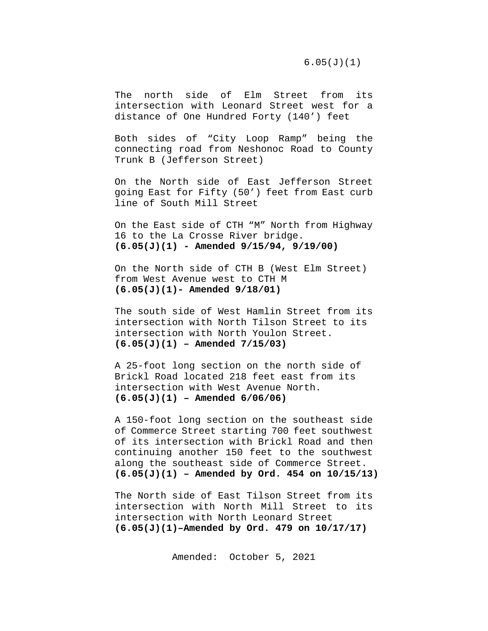6.05(J)(1)

The north side of Elm Street from its intersection with Leonard Street west for a distance of One Hundred Forty (140') feet

Both sides of "City Loop Ramp" being the connecting road from Neshonoc Road to County Trunk B (Jefferson Street)

On the North side of East Jefferson Street going East for Fifty (50') feet from East curb line of South Mill Street

On the East side of CTH "M" North from Highway 16 to the La Crosse River bridge. **(6.05(J)(1) - Amended 9/15/94, 9/19/00)**

On the North side of CTH B (West Elm Street) from West Avenue west to CTH M **(6.05(J)(1)- Amended 9/18/01)**

The south side of West Hamlin Street from its intersection with North Tilson Street to its intersection with North Youlon Street. **(6.05(J)(1) – Amended 7/15/03)**

A 25-foot long section on the north side of Brickl Road located 218 feet east from its intersection with West Avenue North. **(6.05(J)(1) – Amended 6/06/06)**

A 150-foot long section on the southeast side of Commerce Street starting 700 feet southwest of its intersection with Brickl Road and then continuing another 150 feet to the southwest along the southeast side of Commerce Street. **(6.05(J)(1) – Amended by Ord. 454 on 10/15/13)**

The North side of East Tilson Street from its intersection with North Mill Street to its intersection with North Leonard Street **(6.05(J)(1)–Amended by Ord. 479 on 10/17/17)**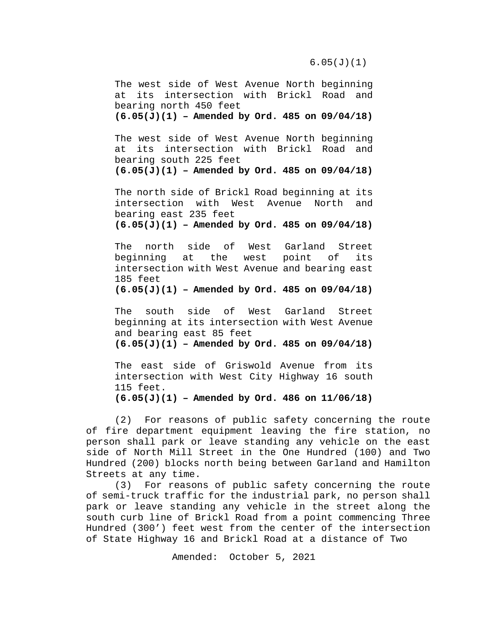The west side of West Avenue North beginning at its intersection with Brickl Road and bearing north 450 feet

**(6.05(J)(1) – Amended by Ord. 485 on 09/04/18)**

The west side of West Avenue North beginning at its intersection with Brickl Road and bearing south 225 feet

**(6.05(J)(1) – Amended by Ord. 485 on 09/04/18)**

The north side of Brickl Road beginning at its<br>intersection with West Avenue North and intersection with West Avenue North and bearing east 235 feet

**(6.05(J)(1) – Amended by Ord. 485 on 09/04/18)**

The north side of West Garland Street<br>beginning at the west point of its beginning at intersection with West Avenue and bearing east 185 feet

**(6.05(J)(1) – Amended by Ord. 485 on 09/04/18)**

The south side of West Garland Street beginning at its intersection with West Avenue and bearing east 85 feet **(6.05(J)(1) – Amended by Ord. 485 on 09/04/18)**

The east side of Griswold Avenue from its intersection with West City Highway 16 south 115 feet.

**(6.05(J)(1) – Amended by Ord. 486 on 11/06/18)**

(2) For reasons of public safety concerning the route of fire department equipment leaving the fire station, no person shall park or leave standing any vehicle on the east side of North Mill Street in the One Hundred (100) and Two Hundred (200) blocks north being between Garland and Hamilton Streets at any time.

(3) For reasons of public safety concerning the route of semi-truck traffic for the industrial park, no person shall park or leave standing any vehicle in the street along the south curb line of Brickl Road from a point commencing Three Hundred (300') feet west from the center of the intersection of State Highway 16 and Brickl Road at a distance of Two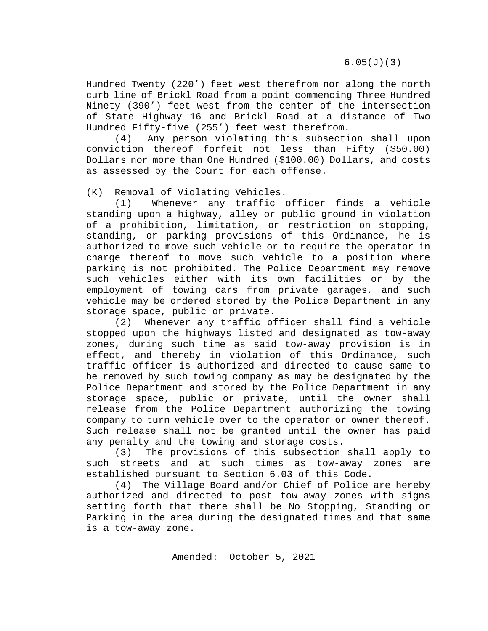6.05(J)(3)

Hundred Twenty (220') feet west therefrom nor along the north curb line of Brickl Road from a point commencing Three Hundred Ninety (390') feet west from the center of the intersection of State Highway 16 and Brickl Road at a distance of Two Hundred Fifty-five (255') feet west therefrom.

(4) Any person violating this subsection shall upon conviction thereof forfeit not less than Fifty (\$50.00) Dollars nor more than One Hundred (\$100.00) Dollars, and costs as assessed by the Court for each offense.

(K) Removal of Violating Vehicles.<br>(1) Whenever any traffic.

Whenever any traffic officer finds a vehicle standing upon a highway, alley or public ground in violation of a prohibition, limitation, or restriction on stopping, standing, or parking provisions of this Ordinance, he is authorized to move such vehicle or to require the operator in charge thereof to move such vehicle to a position where parking is not prohibited. The Police Department may remove such vehicles either with its own facilities or by the employment of towing cars from private garages, and such vehicle may be ordered stored by the Police Department in any storage space, public or private.

(2) Whenever any traffic officer shall find a vehicle stopped upon the highways listed and designated as tow-away zones, during such time as said tow-away provision is in effect, and thereby in violation of this Ordinance, such traffic officer is authorized and directed to cause same to be removed by such towing company as may be designated by the Police Department and stored by the Police Department in any storage space, public or private, until the owner shall release from the Police Department authorizing the towing company to turn vehicle over to the operator or owner thereof. Such release shall not be granted until the owner has paid any penalty and the towing and storage costs.

(3) The provisions of this subsection shall apply to such streets and at such times as tow-away zones are established pursuant to Section 6.03 of this Code.

(4) The Village Board and/or Chief of Police are hereby authorized and directed to post tow-away zones with signs setting forth that there shall be No Stopping, Standing or Parking in the area during the designated times and that same is a tow-away zone.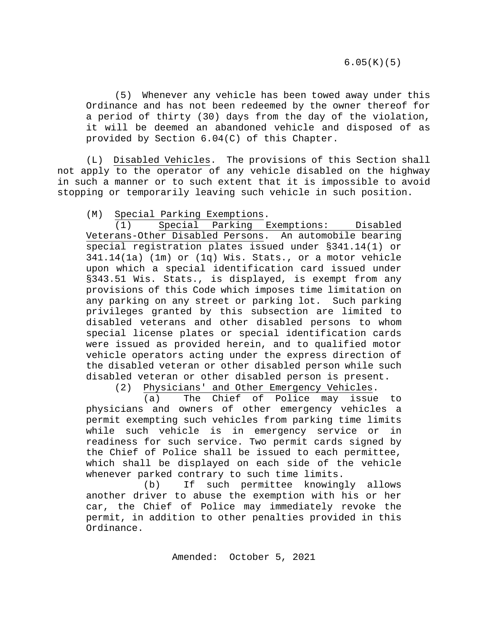(5) Whenever any vehicle has been towed away under this Ordinance and has not been redeemed by the owner thereof for a period of thirty (30) days from the day of the violation, it will be deemed an abandoned vehicle and disposed of as provided by Section 6.04(C) of this Chapter.

(L) Disabled Vehicles. The provisions of this Section shall not apply to the operator of any vehicle disabled on the highway in such a manner or to such extent that it is impossible to avoid stopping or temporarily leaving such vehicle in such position.

(M) Special Parking Exemptions.

(1) Special Parking Exemptions: Disabled Veterans-Other Disabled Persons. An automobile bearing special registration plates issued under §341.14(1) or 341.14(1a) (1m) or (1q) Wis. Stats., or a motor vehicle upon which a special identification card issued under §343.51 Wis. Stats., is displayed, is exempt from any provisions of this Code which imposes time limitation on any parking on any street or parking lot. Such parking privileges granted by this subsection are limited to disabled veterans and other disabled persons to whom special license plates or special identification cards were issued as provided herein, and to qualified motor vehicle operators acting under the express direction of the disabled veteran or other disabled person while such disabled veteran or other disabled person is present.

(2) Physicians' and Other Emergency Vehicles.

(a) The Chief of Police may issue to physicians and owners of other emergency vehicles a permit exempting such vehicles from parking time limits while such vehicle is in emergency service or in readiness for such service. Two permit cards signed by the Chief of Police shall be issued to each permittee, which shall be displayed on each side of the vehicle whenever parked contrary to such time limits.

(b) If such permittee knowingly allows another driver to abuse the exemption with his or her car, the Chief of Police may immediately revoke the permit, in addition to other penalties provided in this Ordinance.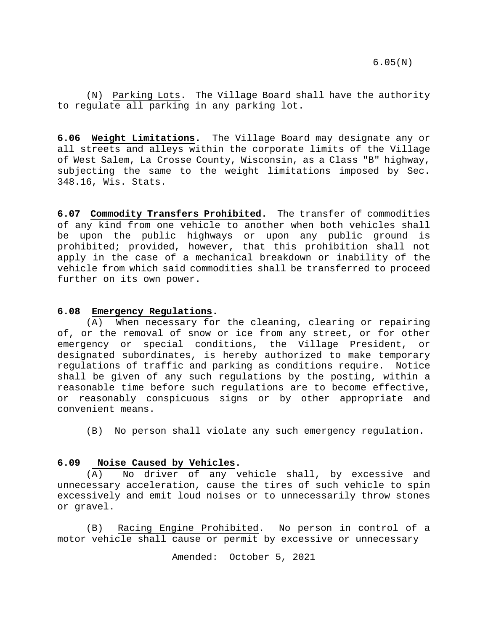(N) Parking Lots. The Village Board shall have the authority to regulate all parking in any parking lot.

<span id="page-15-0"></span>**6.06 Weight Limitations.** The Village Board may designate any or all streets and alleys within the corporate limits of the Village of West Salem, La Crosse County, Wisconsin, as a Class "B" highway, subjecting the same to the weight limitations imposed by Sec. 348.16, Wis. Stats.

<span id="page-15-1"></span>**6.07 Commodity Transfers Prohibited.** The transfer of commodities of any kind from one vehicle to another when both vehicles shall be upon the public highways or upon any public ground is prohibited; provided, however, that this prohibition shall not apply in the case of a mechanical breakdown or inability of the vehicle from which said commodities shall be transferred to proceed further on its own power.

#### <span id="page-15-2"></span>**6.08 Emergency Regulations.**

(A) When necessary for the cleaning, clearing or repairing of, or the removal of snow or ice from any street, or for other emergency or special conditions, the Village President, or designated subordinates, is hereby authorized to make temporary regulations of traffic and parking as conditions require. Notice shall be given of any such regulations by the posting, within a reasonable time before such regulations are to become effective, or reasonably conspicuous signs or by other appropriate and convenient means.

(B) No person shall violate any such emergency regulation.

#### <span id="page-15-3"></span>**6.09 Noise Caused by Vehicles.**

(A) No driver of any vehicle shall, by excessive and unnecessary acceleration, cause the tires of such vehicle to spin excessively and emit loud noises or to unnecessarily throw stones or gravel.

(B) Racing Engine Prohibited. No person in control of a motor vehicle shall cause or permit by excessive or unnecessary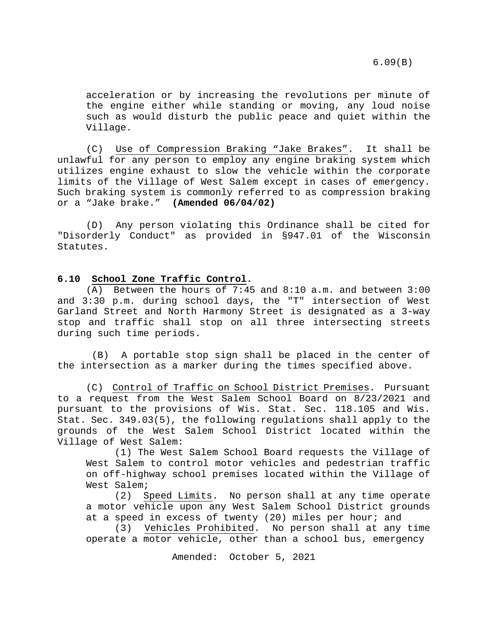acceleration or by increasing the revolutions per minute of the engine either while standing or moving, any loud noise such as would disturb the public peace and quiet within the Village.

(C) Use of Compression Braking "Jake Brakes". It shall be unlawful for any person to employ any engine braking system which utilizes engine exhaust to slow the vehicle within the corporate limits of the Village of West Salem except in cases of emergency. Such braking system is commonly referred to as compression braking or a "Jake brake." **(Amended 06/04/02)**

(D) Any person violating this Ordinance shall be cited for "Disorderly Conduct" as provided in §947.01 of the Wisconsin Statutes.

#### <span id="page-16-0"></span>**6.10 School Zone Traffic Control.**

 $(A)$  Between the hours of 7:45 and 8:10 a.m. and between 3:00 and 3:30 p.m. during school days, the "T" intersection of West Garland Street and North Harmony Street is designated as a 3-way stop and traffic shall stop on all three intersecting streets during such time periods.

(B) A portable stop sign shall be placed in the center of the intersection as a marker during the times specified above.

(C) Control of Traffic on School District Premises. Pursuant to a request from the West Salem School Board on 8/23/2021 and pursuant to the provisions of Wis. Stat. Sec. 118.105 and Wis. Stat. Sec. 349.03(5), the following regulations shall apply to the grounds of the West Salem School District located within the Village of West Salem:

(1) The West Salem School Board requests the Village of West Salem to control motor vehicles and pedestrian traffic on off-highway school premises located within the Village of West Salem;<br>(2) S

Speed Limits. No person shall at any time operate a motor vehicle upon any West Salem School District grounds at a speed in excess of twenty (20) miles per hour; and

(3) Vehicles Prohibited. No person shall at any time operate a motor vehicle, other than a school bus, emergency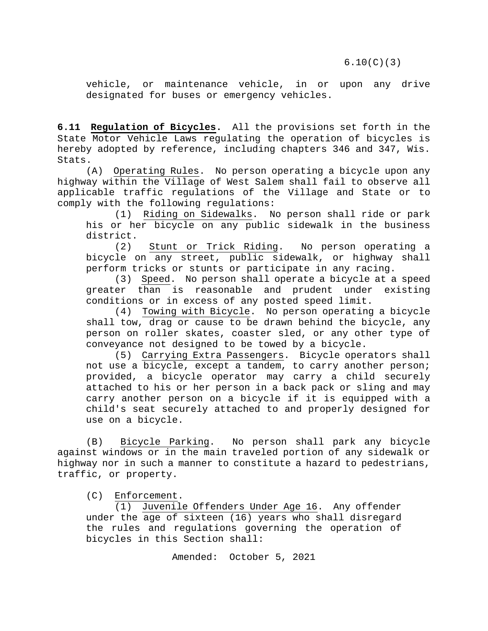vehicle, or maintenance vehicle, in or upon any drive designated for buses or emergency vehicles.

<span id="page-17-0"></span>**6.11 Regulation of Bicycles.** All the provisions set forth in the State Motor Vehicle Laws regulating the operation of bicycles is hereby adopted by reference, including chapters 346 and 347, Wis. Stats.

(A) Operating Rules. No person operating a bicycle upon any highway within the Village of West Salem shall fail to observe all applicable traffic regulations of the Village and State or to comply with the following regulations:

(1) Riding on Sidewalks. No person shall ride or park his or her bicycle on any public sidewalk in the business district.

(2) Stunt or Trick Riding. No person operating a bicycle on any street, public sidewalk, or highway shall perform tricks or stunts or participate in any racing.

(3) Speed. No person shall operate a bicycle at a speed greater than is reasonable and prudent under existing conditions or in excess of any posted speed limit.

(4) Towing with Bicycle. No person operating a bicycle shall tow, drag or cause to be drawn behind the bicycle, any person on roller skates, coaster sled, or any other type of conveyance not designed to be towed by a bicycle.

(5) Carrying Extra Passengers. Bicycle operators shall not use a bicycle, except a tandem, to carry another person; provided, a bicycle operator may carry a child securely attached to his or her person in a back pack or sling and may carry another person on a bicycle if it is equipped with a child's seat securely attached to and properly designed for use on a bicycle.

(B) Bicycle Parking. No person shall park any bicycle against windows or in the main traveled portion of any sidewalk or highway nor in such a manner to constitute a hazard to pedestrians, traffic, or property.

(C) Enforcement.

(1) Juvenile Offenders Under Age 16. Any offender under the age of sixteen (16) years who shall disregard the rules and regulations governing the operation of bicycles in this Section shall: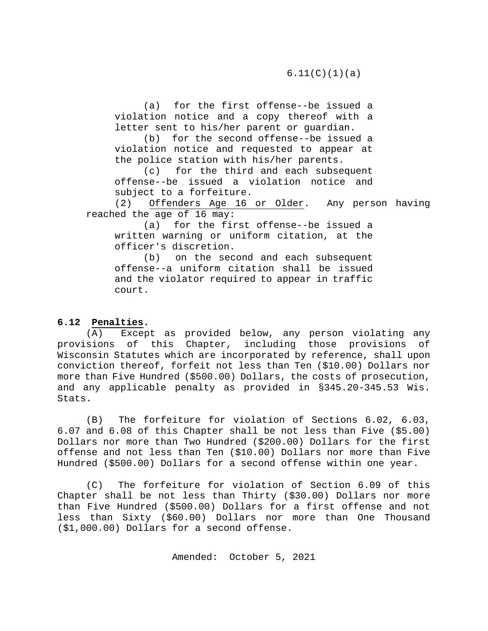(a) for the first offense--be issued a violation notice and a copy thereof with a letter sent to his/her parent or guardian.

(b) for the second offense--be issued a violation notice and requested to appear at the police station with his/her parents.

(c) for the third and each subsequent offense--be issued a violation notice and subject to a forfeiture.<br>(2) Offenders Age 16

Offenders Age 16 or Older. Any person having reached the age of 16 may:

(a) for the first offense--be issued a written warning or uniform citation, at the officer's discretion.

(b) on the second and each subsequent offense--a uniform citation shall be issued and the violator required to appear in traffic court.

# <span id="page-18-0"></span>**6.12 Penalties.**

(A) Except as provided below, any person violating any provisions of this Chapter, including those provisions of Wisconsin Statutes which are incorporated by reference, shall upon conviction thereof, forfeit not less than Ten (\$10.00) Dollars nor more than Five Hundred (\$500.00) Dollars, the costs of prosecution, and any applicable penalty as provided in §345.20-345.53 Wis. Stats.

(B) The forfeiture for violation of Sections 6.02, 6.03, 6.07 and 6.08 of this Chapter shall be not less than Five (\$5.00) Dollars nor more than Two Hundred (\$200.00) Dollars for the first offense and not less than Ten (\$10.00) Dollars nor more than Five Hundred (\$500.00) Dollars for a second offense within one year.

(C) The forfeiture for violation of Section 6.09 of this Chapter shall be not less than Thirty (\$30.00) Dollars nor more than Five Hundred (\$500.00) Dollars for a first offense and not less than Sixty (\$60.00) Dollars nor more than One Thousand (\$1,000.00) Dollars for a second offense.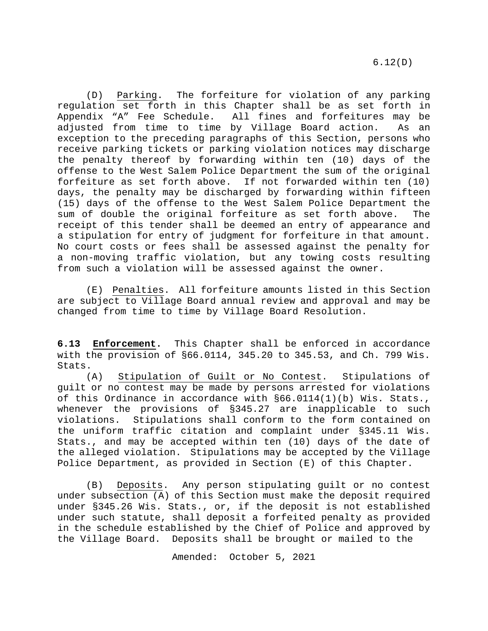(D) Parking. The forfeiture for violation of any parking regulation set forth in this Chapter shall be as set forth in<br>Appendix "A" Fee Schedule. All fines and forfeitures may be All fines and forfeitures may be adjusted from time to time by Village Board action. As an exception to the preceding paragraphs of this Section, persons who receive parking tickets or parking violation notices may discharge the penalty thereof by forwarding within ten (10) days of the offense to the West Salem Police Department the sum of the original forfeiture as set forth above. If not forwarded within ten (10) days, the penalty may be discharged by forwarding within fifteen (15) days of the offense to the West Salem Police Department the sum of double the original forfeiture as set forth above. The receipt of this tender shall be deemed an entry of appearance and a stipulation for entry of judgment for forfeiture in that amount. No court costs or fees shall be assessed against the penalty for a non-moving traffic violation, but any towing costs resulting from such a violation will be assessed against the owner.

(E) Penalties. All forfeiture amounts listed in this Section are subject to Village Board annual review and approval and may be changed from time to time by Village Board Resolution.

<span id="page-19-0"></span>**6.13 Enforcement.** This Chapter shall be enforced in accordance with the provision of §66.0114, 345.20 to 345.53, and Ch. 799 Wis. Stats.

(A) Stipulation of Guilt or No Contest. Stipulations of guilt or no contest may be made by persons arrested for violations of this Ordinance in accordance with §66.0114(1)(b) Wis. Stats., whenever the provisions of §345.27 are inapplicable to such<br>violations. Stipulations shall conform to the form contained on Stipulations shall conform to the form contained on the uniform traffic citation and complaint under §345.11 Wis. Stats., and may be accepted within ten (10) days of the date of the alleged violation. Stipulations may be accepted by the Village Police Department, as provided in Section (E) of this Chapter.

(B) Deposits. Any person stipulating guilt or no contest under subsection (A) of this Section must make the deposit required under §345.26 Wis. Stats., or, if the deposit is not established under such statute, shall deposit a forfeited penalty as provided in the schedule established by the Chief of Police and approved by the Village Board. Deposits shall be brought or mailed to the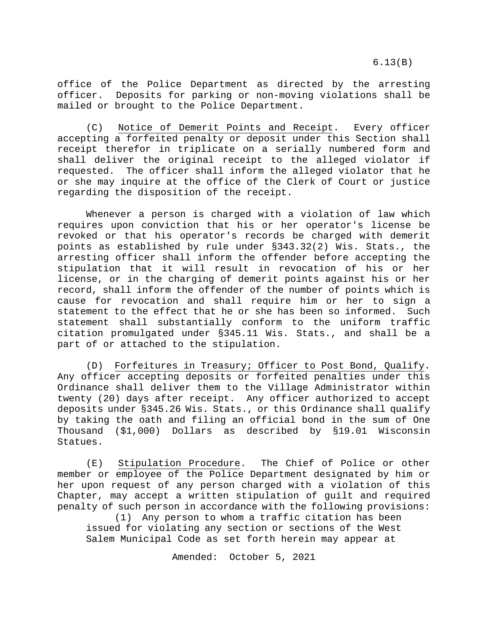6.13(B)

office of the Police Department as directed by the arresting officer. Deposits for parking or non-moving violations shall be mailed or brought to the Police Department.

(C) Notice of Demerit Points and Receipt. Every officer accepting a forfeited penalty or deposit under this Section shall receipt therefor in triplicate on a serially numbered form and shall deliver the original receipt to the alleged violator if requested. The officer shall inform the alleged violator that he or she may inquire at the office of the Clerk of Court or justice regarding the disposition of the receipt.

Whenever a person is charged with a violation of law which requires upon conviction that his or her operator's license be revoked or that his operator's records be charged with demerit points as established by rule under §343.32(2) Wis. Stats., the arresting officer shall inform the offender before accepting the stipulation that it will result in revocation of his or her license, or in the charging of demerit points against his or her record, shall inform the offender of the number of points which is cause for revocation and shall require him or her to sign a statement to the effect that he or she has been so informed. Such statement shall substantially conform to the uniform traffic citation promulgated under §345.11 Wis. Stats., and shall be a part of or attached to the stipulation.

(D) Forfeitures in Treasury; Officer to Post Bond, Qualify. Any officer accepting deposits or forfeited penalties under this Ordinance shall deliver them to the Village Administrator within twenty (20) days after receipt. Any officer authorized to accept deposits under §345.26 Wis. Stats., or this Ordinance shall qualify by taking the oath and filing an official bond in the sum of One Thousand (\$1,000) Dollars as described by §19.01 Wisconsin Statues.

(E) Stipulation Procedure. The Chief of Police or other member or employee of the Police Department designated by him or her upon request of any person charged with a violation of this Chapter, may accept a written stipulation of guilt and required penalty of such person in accordance with the following provisions:

(1) Any person to whom a traffic citation has been issued for violating any section or sections of the West Salem Municipal Code as set forth herein may appear at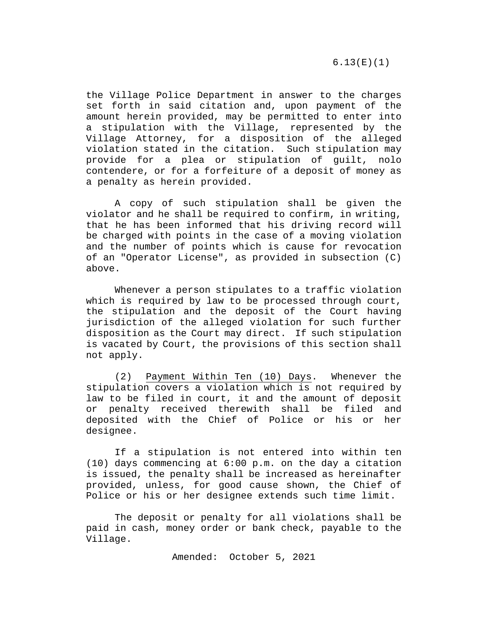the Village Police Department in answer to the charges set forth in said citation and, upon payment of the amount herein provided, may be permitted to enter into a stipulation with the Village, represented by the Village Attorney, for a disposition of the alleged violation stated in the citation. Such stipulation may provide for a plea or stipulation of guilt, nolo contendere, or for a forfeiture of a deposit of money as a penalty as herein provided.

A copy of such stipulation shall be given the violator and he shall be required to confirm, in writing, that he has been informed that his driving record will be charged with points in the case of a moving violation and the number of points which is cause for revocation of an "Operator License", as provided in subsection (C) above.

Whenever a person stipulates to a traffic violation which is required by law to be processed through court, the stipulation and the deposit of the Court having jurisdiction of the alleged violation for such further disposition as the Court may direct. If such stipulation is vacated by Court, the provisions of this section shall not apply.

(2) Payment Within Ten (10) Days. Whenever the stipulation covers a violation which is not required by law to be filed in court, it and the amount of deposit or penalty received therewith shall be filed and deposited with the Chief of Police or his or her designee.

If a stipulation is not entered into within ten (10) days commencing at 6:00 p.m. on the day a citation is issued, the penalty shall be increased as hereinafter provided, unless, for good cause shown, the Chief of Police or his or her designee extends such time limit.

The deposit or penalty for all violations shall be paid in cash, money order or bank check, payable to the Village.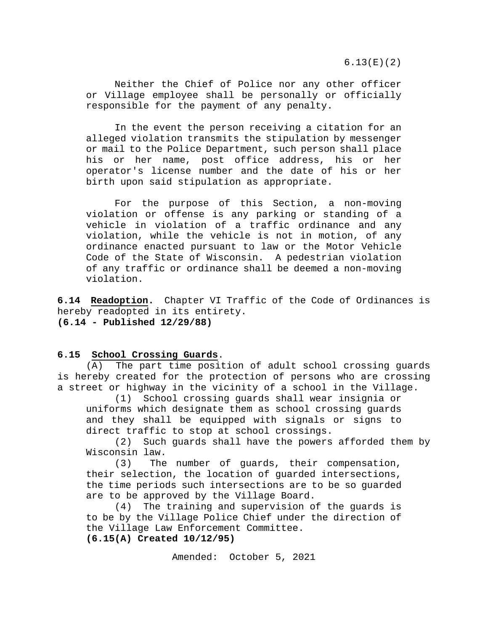6.13(E)(2)

Neither the Chief of Police nor any other officer or Village employee shall be personally or officially responsible for the payment of any penalty.

In the event the person receiving a citation for an alleged violation transmits the stipulation by messenger or mail to the Police Department, such person shall place his or her name, post office address, his or her operator's license number and the date of his or her birth upon said stipulation as appropriate.

For the purpose of this Section, a non-moving violation or offense is any parking or standing of a vehicle in violation of a traffic ordinance and any violation, while the vehicle is not in motion, of any ordinance enacted pursuant to law or the Motor Vehicle Code of the State of Wisconsin. A pedestrian violation of any traffic or ordinance shall be deemed a non-moving violation.

<span id="page-22-0"></span>**6.14 Readoption.** Chapter VI Traffic of the Code of Ordinances is hereby readopted in its entirety. **(6.14 - Published 12/29/88)**

## <span id="page-22-1"></span>**6.15 School Crossing Guards**.

(A) The part time position of adult school crossing guards is hereby created for the protection of persons who are crossing a street or highway in the vicinity of a school in the Village.

(1) School crossing guards shall wear insignia or uniforms which designate them as school crossing guards and they shall be equipped with signals or signs to direct traffic to stop at school crossings.<br>(2) Such quards shall have the powers

Such guards shall have the powers afforded them by Wisconsin law.

(3) The number of guards, their compensation, their selection, the location of guarded intersections, the time periods such intersections are to be so guarded are to be approved by the Village Board.

(4) The training and supervision of the guards is to be by the Village Police Chief under the direction of the Village Law Enforcement Committee. **(6.15(A) Created 10/12/95)**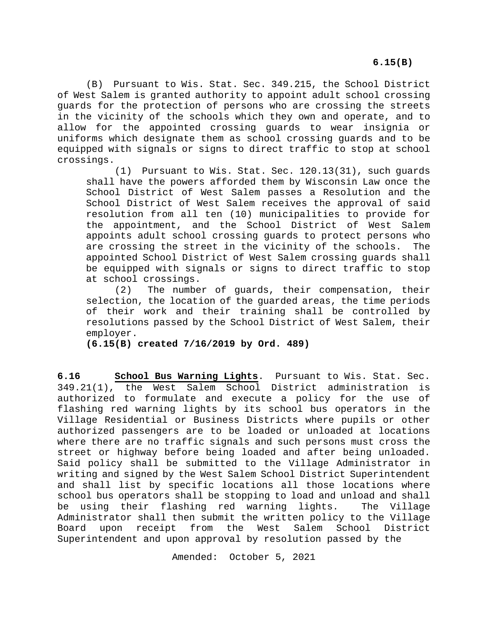**6.15(B)**

(B)Pursuant to Wis. Stat. Sec. 349.215, the School District of West Salem is granted authority to appoint adult school crossing guards for the protection of persons who are crossing the streets in the vicinity of the schools which they own and operate, and to allow for the appointed crossing guards to wear insignia or uniforms which designate them as school crossing guards and to be equipped with signals or signs to direct traffic to stop at school crossings.

(1) Pursuant to Wis. Stat. Sec. 120.13(31), such guards shall have the powers afforded them by Wisconsin Law once the School District of West Salem passes a Resolution and the School District of West Salem receives the approval of said resolution from all ten (10) municipalities to provide for the appointment, and the School District of West Salem appoints adult school crossing guards to protect persons who are crossing the street in the vicinity of the schools. The appointed School District of West Salem crossing guards shall be equipped with signals or signs to direct traffic to stop at school crossings.<br>(2) The numbe

The number of quards, their compensation, their selection, the location of the guarded areas, the time periods of their work and their training shall be controlled by resolutions passed by the School District of West Salem, their employer.

**(6.15(B) created 7/16/2019 by Ord. 489)**

<span id="page-23-0"></span>**6.16 School Bus Warning Lights**. Pursuant to Wis. Stat. Sec. 349.21(1), the West Salem School District administration is authorized to formulate and execute a policy for the use of flashing red warning lights by its school bus operators in the Village Residential or Business Districts where pupils or other authorized passengers are to be loaded or unloaded at locations where there are no traffic signals and such persons must cross the street or highway before being loaded and after being unloaded. Said policy shall be submitted to the Village Administrator in writing and signed by the West Salem School District Superintendent and shall list by specific locations all those locations where school bus operators shall be stopping to load and unload and shall be using their flashing red warning lights. The Village Administrator shall then submit the written policy to the Village Board upon receipt from the West Salem School District Superintendent and upon approval by resolution passed by the